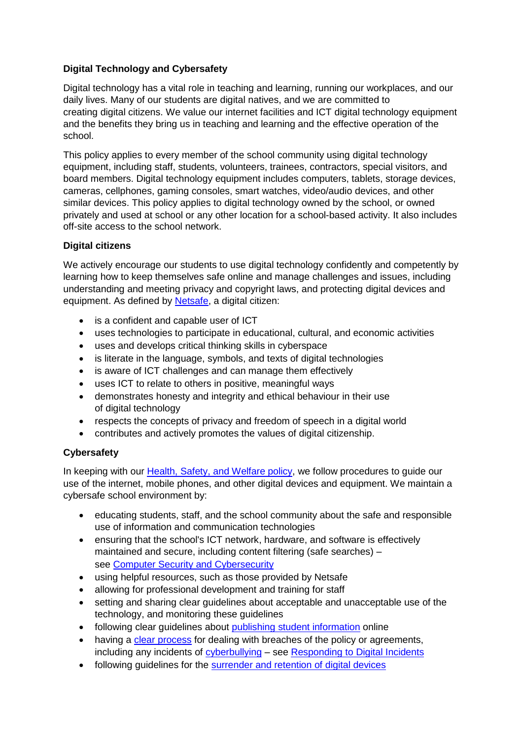## **Digital Technology and Cybersafety**

Digital technology has a vital role in teaching and learning, running our workplaces, and our daily lives. Many of our students are digital natives, and we are committed to creating digital citizens. We value our internet facilities and ICT digital technology equipment and the benefits they bring us in teaching and learning and the effective operation of the school.

This policy applies to every member of the school community using digital technology equipment, including staff, students, volunteers, trainees, contractors, special visitors, and board members. Digital technology equipment includes computers, tablets, storage devices, cameras, cellphones, gaming consoles, smart watches, video/audio devices, and other similar devices. This policy applies to digital technology owned by the school, or owned privately and used at school or any other location for a school-based activity. It also includes off-site access to the school network.

## **Digital citizens**

We actively encourage our students to use digital technology confidently and competently by learning how to keep themselves safe online and manage challenges and issues, including understanding and meeting privacy and copyright laws, and protecting digital devices and equipment. As defined by [Netsafe,](https://www.netsafe.org.nz/digital-citizenship-and-digital-literacy/) a digital citizen:

- is a confident and capable user of ICT
- uses technologies to participate in educational, cultural, and economic activities
- uses and develops critical thinking skills in cyberspace
- is literate in the language, symbols, and texts of digital technologies
- is aware of ICT challenges and can manage them effectively
- uses ICT to relate to others in positive, meaningful ways
- demonstrates honesty and integrity and ethical behaviour in their use of digital technology
- respects the concepts of privacy and freedom of speech in a digital world
- contributes and actively promotes the values of digital citizenship.

## **Cybersafety**

In keeping with our [Health, Safety, and Welfare policy,](https://iqra.schooldocs.co.nz/2984.htm) we follow procedures to guide our use of the internet, mobile phones, and other digital devices and equipment. We maintain a cybersafe school environment by:

- educating students, staff, and the school community about the safe and responsible use of information and communication technologies
- ensuring that the school's ICT network, hardware, and software is effectively maintained and secure, including content filtering (safe searches) – see Computer Security [and Cybersecurity](https://iqra.schooldocs.co.nz/866.htm)
- using helpful resources, such as those provided by Netsafe
- allowing for professional development and training for staff
- setting and sharing clear guidelines about acceptable and unacceptable use of the technology, and monitoring these guidelines
- following clear quidelines about [publishing student information](https://iqra.schooldocs.co.nz/10983.htm) online
- having a [clear process](https://iqra.schooldocs.co.nz/12803.htm) for dealing with breaches of the policy or agreements, including any incidents of [cyberbullying](https://iqra.schooldocs.co.nz/12776.htm#o12921) – see [Responding to](https://iqra.schooldocs.co.nz/21172.htm) Digital Incidents
- following guidelines for the [surrender and retention of](https://iqra.schooldocs.co.nz/11301.htm) digital devices